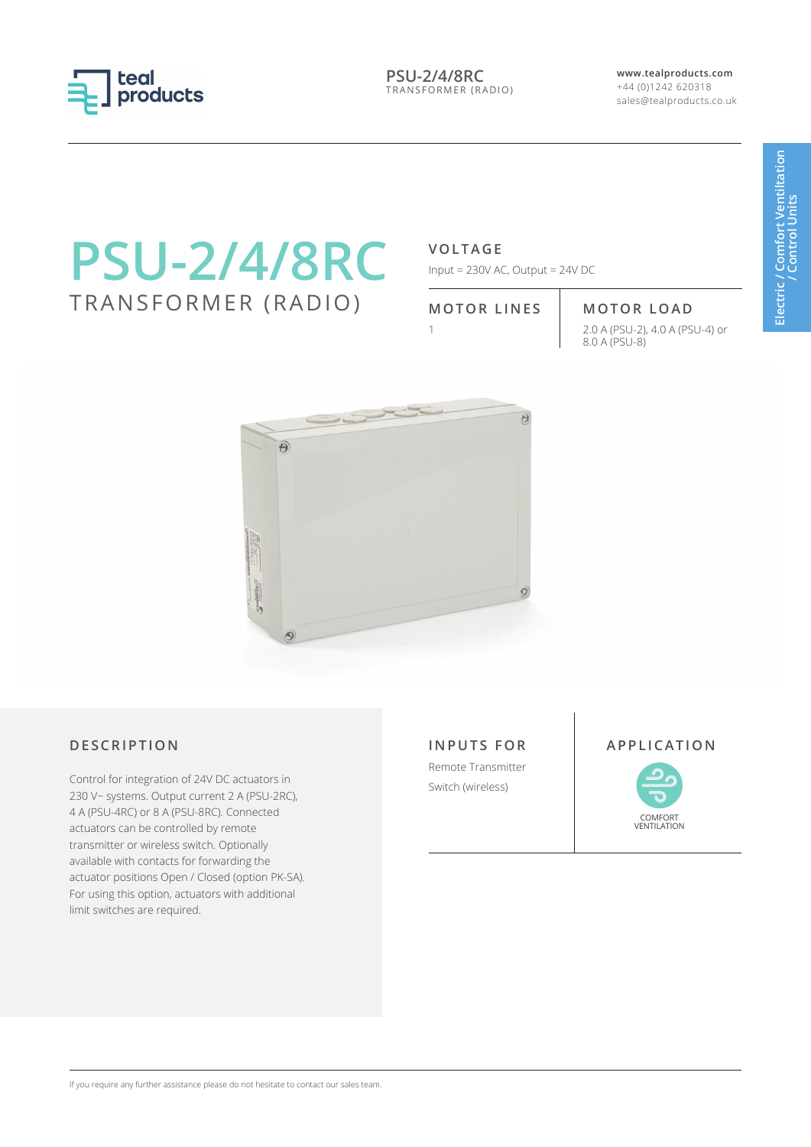

**PSU-2/4/8RC** TRANSFORMER (RADIO) **www.tealproducts.com** +44 (0)1242 620318 sales@tealproducts.co.uk

# **PSU-2/4/8RC** TRANSFORMER (RADIO)

### **VOLTAGE**

Input = 230V AC, Output = 24V DC

## **MOTOR LINES MOTOR LOAD**

1 2.0 A (PSU-2), 4.0 A (PSU-4) or 8.0 A (PSU-8)



#### **DESCRIPTION APPLICATION**

Control for integration of 24V DC actuators in 230 V~ systems. Output current 2 A (PSU-2RC), 4 A (PSU-4RC) or 8 A (PSU-8RC). Connected actuators can be controlled by remote transmitter or wireless switch. Optionally available with contacts for forwarding the actuator positions Open / Closed (option PK-SA). For using this option, actuators with additional limit switches are required.

**INPUTS FOR** Remote Transmitter Switch (wireless)





If you require any further assistance please do not hesitate to contact our sales team.